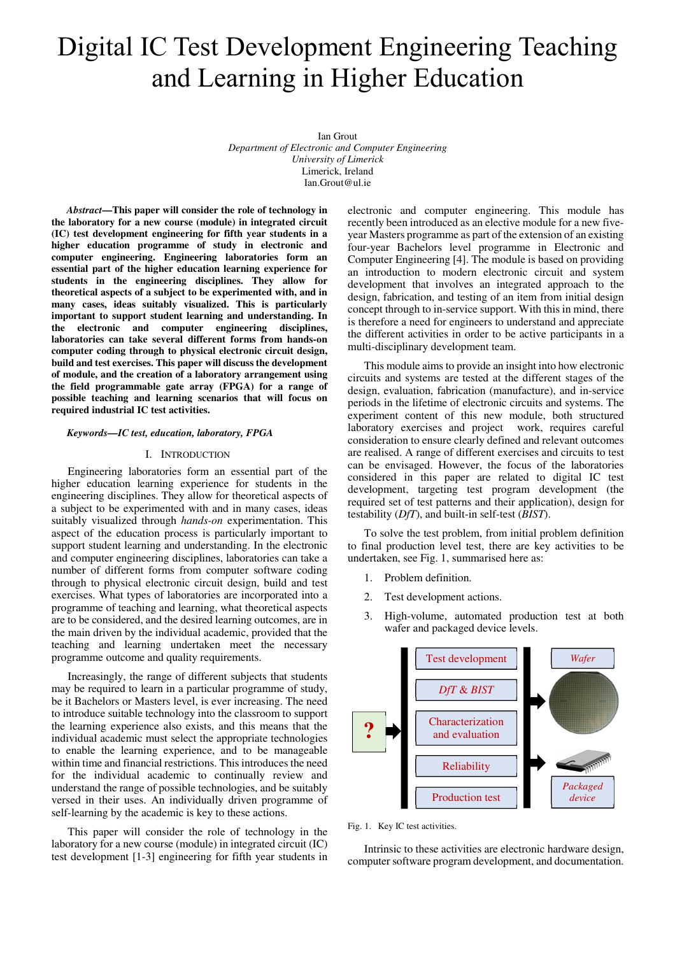# Digital IC Test Development Engineering Teaching and Learning in Higher Education

Ian Grout *Department of Electronic and Computer Engineering University of Limerick*  Limerick, Ireland Ian.Grout@ul.ie

*Abstract***—This paper will consider the role of technology in the laboratory for a new course (module) in integrated circuit (IC) test development engineering for fifth year students in a higher education programme of study in electronic and computer engineering. Engineering laboratories form an essential part of the higher education learning experience for students in the engineering disciplines. They allow for theoretical aspects of a subject to be experimented with, and in many cases, ideas suitably visualized. This is particularly important to support student learning and understanding. In the electronic and computer engineering disciplines, laboratories can take several different forms from hands-on computer coding through to physical electronic circuit design, build and test exercises. This paper will discuss the development of module, and the creation of a laboratory arrangement using the field programmable gate array (FPGA) for a range of possible teaching and learning scenarios that will focus on required industrial IC test activities.** 

#### *Keywords—IC test, education, laboratory, FPGA*

## I. INTRODUCTION

Engineering laboratories form an essential part of the higher education learning experience for students in the engineering disciplines. They allow for theoretical aspects of a subject to be experimented with and in many cases, ideas suitably visualized through *hands-on* experimentation. This aspect of the education process is particularly important to support student learning and understanding. In the electronic and computer engineering disciplines, laboratories can take a number of different forms from computer software coding through to physical electronic circuit design, build and test exercises. What types of laboratories are incorporated into a programme of teaching and learning, what theoretical aspects are to be considered, and the desired learning outcomes, are in the main driven by the individual academic, provided that the teaching and learning undertaken meet the necessary programme outcome and quality requirements.

Increasingly, the range of different subjects that students may be required to learn in a particular programme of study, be it Bachelors or Masters level, is ever increasing. The need to introduce suitable technology into the classroom to support the learning experience also exists, and this means that the individual academic must select the appropriate technologies to enable the learning experience, and to be manageable within time and financial restrictions. This introduces the need for the individual academic to continually review and understand the range of possible technologies, and be suitably versed in their uses. An individually driven programme of self-learning by the academic is key to these actions.

This paper will consider the role of technology in the laboratory for a new course (module) in integrated circuit (IC) test development [1-3] engineering for fifth year students in electronic and computer engineering. This module has recently been introduced as an elective module for a new fiveyear Masters programme as part of the extension of an existing four-year Bachelors level programme in Electronic and Computer Engineering [4]. The module is based on providing an introduction to modern electronic circuit and system development that involves an integrated approach to the design, fabrication, and testing of an item from initial design concept through to in-service support. With this in mind, there is therefore a need for engineers to understand and appreciate the different activities in order to be active participants in a multi-disciplinary development team.

This module aims to provide an insight into how electronic circuits and systems are tested at the different stages of the design, evaluation, fabrication (manufacture), and in-service periods in the lifetime of electronic circuits and systems. The experiment content of this new module, both structured laboratory exercises and project work, requires careful consideration to ensure clearly defined and relevant outcomes are realised. A range of different exercises and circuits to test can be envisaged. However, the focus of the laboratories considered in this paper are related to digital IC test development, targeting test program development (the required set of test patterns and their application), design for testability (*DfT*), and built-in self-test (*BIST*).

To solve the test problem, from initial problem definition to final production level test, there are key activities to be undertaken, see Fig. 1, summarised here as:

- 1. Problem definition.
- 2. Test development actions.
- 3. High-volume, automated production test at both wafer and packaged device levels.



Fig. 1. Key IC test activities.

Intrinsic to these activities are electronic hardware design, computer software program development, and documentation.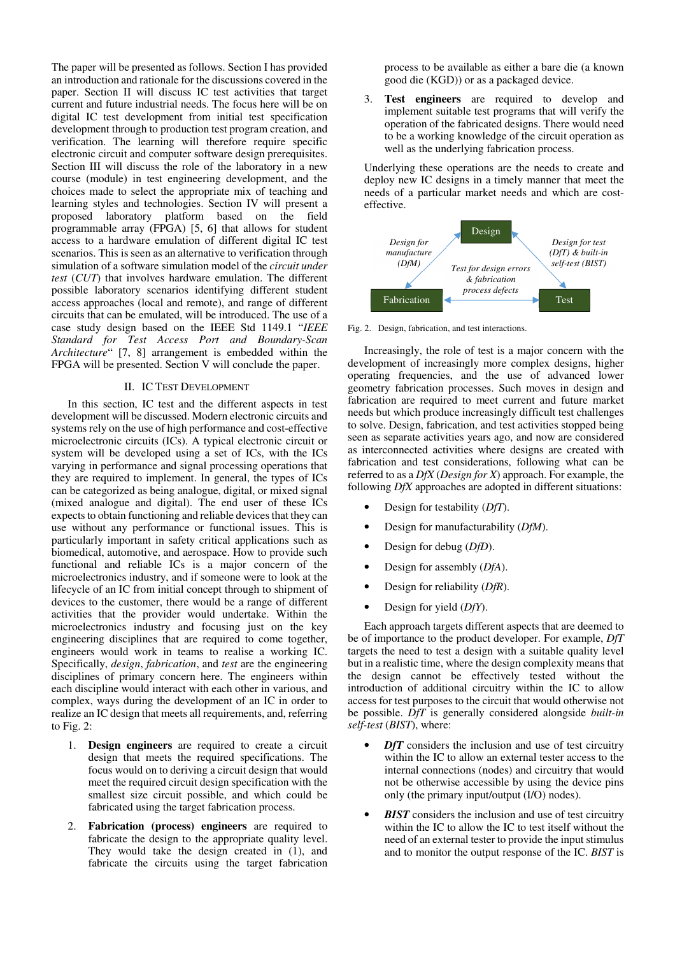The paper will be presented as follows. Section I has provided an introduction and rationale for the discussions covered in the paper. Section II will discuss IC test activities that target current and future industrial needs. The focus here will be on digital IC test development from initial test specification development through to production test program creation, and verification. The learning will therefore require specific electronic circuit and computer software design prerequisites. Section III will discuss the role of the laboratory in a new course (module) in test engineering development, and the choices made to select the appropriate mix of teaching and learning styles and technologies. Section IV will present a proposed laboratory platform based on the field programmable array (FPGA) [5, 6] that allows for student access to a hardware emulation of different digital IC test scenarios. This is seen as an alternative to verification through simulation of a software simulation model of the *circuit under test* (*CUT*) that involves hardware emulation. The different possible laboratory scenarios identifying different student access approaches (local and remote), and range of different circuits that can be emulated, will be introduced. The use of a case study design based on the IEEE Std 1149.1 "*IEEE Standard for Test Access Port and Boundary-Scan Architecture*" [7, 8] arrangement is embedded within the FPGA will be presented. Section V will conclude the paper.

## II. IC TEST DEVELOPMENT

In this section, IC test and the different aspects in test development will be discussed. Modern electronic circuits and systems rely on the use of high performance and cost-effective microelectronic circuits (ICs). A typical electronic circuit or system will be developed using a set of ICs, with the ICs varying in performance and signal processing operations that they are required to implement. In general, the types of ICs can be categorized as being analogue, digital, or mixed signal (mixed analogue and digital). The end user of these ICs expects to obtain functioning and reliable devices that they can use without any performance or functional issues. This is particularly important in safety critical applications such as biomedical, automotive, and aerospace. How to provide such functional and reliable ICs is a major concern of the microelectronics industry, and if someone were to look at the lifecycle of an IC from initial concept through to shipment of devices to the customer, there would be a range of different activities that the provider would undertake. Within the microelectronics industry and focusing just on the key engineering disciplines that are required to come together, engineers would work in teams to realise a working IC. Specifically, *design*, *fabrication*, and *test* are the engineering disciplines of primary concern here. The engineers within each discipline would interact with each other in various, and complex, ways during the development of an IC in order to realize an IC design that meets all requirements, and, referring to Fig. 2:

- 1. **Design engineers** are required to create a circuit design that meets the required specifications. The focus would on to deriving a circuit design that would meet the required circuit design specification with the smallest size circuit possible, and which could be fabricated using the target fabrication process.
- 2. **Fabrication (process) engineers** are required to fabricate the design to the appropriate quality level. They would take the design created in  $(1)$ , and fabricate the circuits using the target fabrication

process to be available as either a bare die (a known good die (KGD)) or as a packaged device.

3. **Test engineers** are required to develop and implement suitable test programs that will verify the operation of the fabricated designs. There would need to be a working knowledge of the circuit operation as well as the underlying fabrication process.

Underlying these operations are the needs to create and deploy new IC designs in a timely manner that meet the needs of a particular market needs and which are costeffective.



Fig. 2. Design, fabrication, and test interactions.

Increasingly, the role of test is a major concern with the development of increasingly more complex designs, higher operating frequencies, and the use of advanced lower geometry fabrication processes. Such moves in design and fabrication are required to meet current and future market needs but which produce increasingly difficult test challenges to solve. Design, fabrication, and test activities stopped being seen as separate activities years ago, and now are considered as interconnected activities where designs are created with fabrication and test considerations, following what can be referred to as a *DfX* (*Design for X*) approach. For example, the following *DfX* approaches are adopted in different situations:

- Design for testability (*DfT*).
- Design for manufacturability (*DfM*).
- Design for debug (*DfD*).
- Design for assembly (*DfA*).
- Design for reliability (*DfR*).
- Design for yield (*DfY*).

Each approach targets different aspects that are deemed to be of importance to the product developer. For example, *DfT* targets the need to test a design with a suitable quality level but in a realistic time, where the design complexity means that the design cannot be effectively tested without the introduction of additional circuitry within the IC to allow access for test purposes to the circuit that would otherwise not be possible. *DfT* is generally considered alongside *built-in self-test* (*BIST*), where:

- *DfT* considers the inclusion and use of test circuitry within the IC to allow an external tester access to the internal connections (nodes) and circuitry that would not be otherwise accessible by using the device pins only (the primary input/output (I/O) nodes).
- **BIST** considers the inclusion and use of test circuitry within the IC to allow the IC to test itself without the need of an external tester to provide the input stimulus and to monitor the output response of the IC. *BIST* is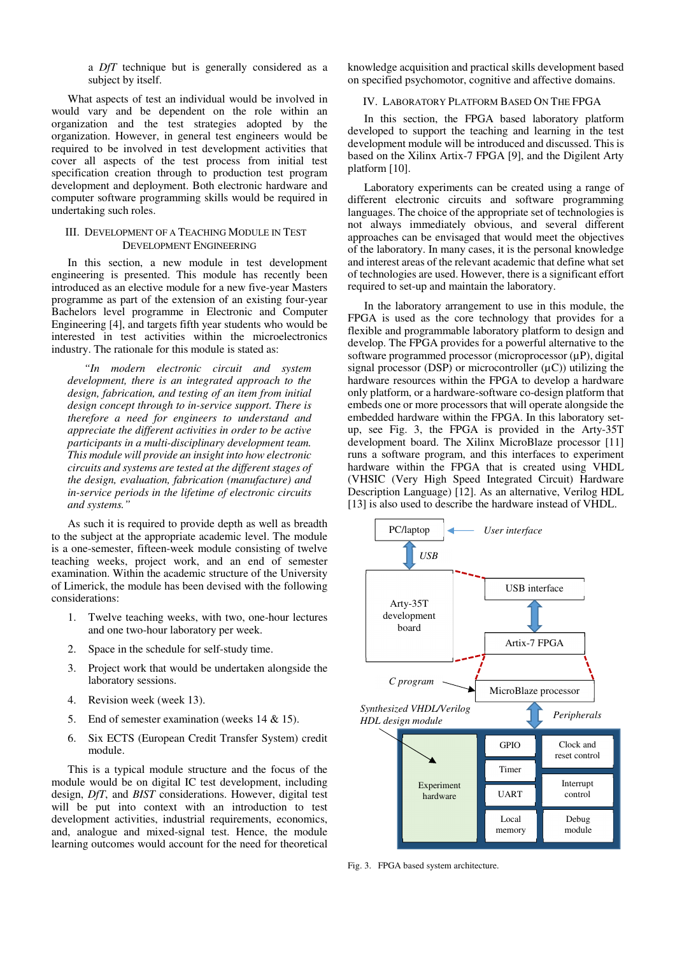a *DfT* technique but is generally considered as a subject by itself.

What aspects of test an individual would be involved in would vary and be dependent on the role within an organization and the test strategies adopted by the organization. However, in general test engineers would be required to be involved in test development activities that cover all aspects of the test process from initial test specification creation through to production test program development and deployment. Both electronic hardware and computer software programming skills would be required in undertaking such roles.

## III. DEVELOPMENT OF A TEACHING MODULE IN TEST DEVELOPMENT ENGINEERING

In this section, a new module in test development engineering is presented. This module has recently been introduced as an elective module for a new five-year Masters programme as part of the extension of an existing four-year Bachelors level programme in Electronic and Computer Engineering [4], and targets fifth year students who would be interested in test activities within the microelectronics industry. The rationale for this module is stated as:

*"In modern electronic circuit and system development, there is an integrated approach to the design, fabrication, and testing of an item from initial design concept through to in-service support. There is therefore a need for engineers to understand and appreciate the different activities in order to be active participants in a multi-disciplinary development team. This module will provide an insight into how electronic circuits and systems are tested at the different stages of the design, evaluation, fabrication (manufacture) and in-service periods in the lifetime of electronic circuits and systems."* 

As such it is required to provide depth as well as breadth to the subject at the appropriate academic level. The module is a one-semester, fifteen-week module consisting of twelve teaching weeks, project work, and an end of semester examination. Within the academic structure of the University of Limerick, the module has been devised with the following considerations:

- 1. Twelve teaching weeks, with two, one-hour lectures and one two-hour laboratory per week.
- 2. Space in the schedule for self-study time.
- 3. Project work that would be undertaken alongside the laboratory sessions.
- 4. Revision week (week 13).
- 5. End of semester examination (weeks 14 & 15).
- 6. Six ECTS (European Credit Transfer System) credit module.

This is a typical module structure and the focus of the module would be on digital IC test development, including design, *DfT*, and *BIST* considerations. However, digital test will be put into context with an introduction to test development activities, industrial requirements, economics, and, analogue and mixed-signal test. Hence, the module learning outcomes would account for the need for theoretical

knowledge acquisition and practical skills development based on specified psychomotor, cognitive and affective domains.

## IV. LABORATORY PLATFORM BASED ON THE FPGA

In this section, the FPGA based laboratory platform developed to support the teaching and learning in the test development module will be introduced and discussed. This is based on the Xilinx Artix-7 FPGA [9], and the Digilent Arty platform [10].

Laboratory experiments can be created using a range of different electronic circuits and software programming languages. The choice of the appropriate set of technologies is not always immediately obvious, and several different approaches can be envisaged that would meet the objectives of the laboratory. In many cases, it is the personal knowledge and interest areas of the relevant academic that define what set of technologies are used. However, there is a significant effort required to set-up and maintain the laboratory.

In the laboratory arrangement to use in this module, the FPGA is used as the core technology that provides for a flexible and programmable laboratory platform to design and develop. The FPGA provides for a powerful alternative to the software programmed processor (microprocessor  $(\mu P)$ , digital signal processor (DSP) or microcontroller  $(\mu C)$ ) utilizing the hardware resources within the FPGA to develop a hardware only platform, or a hardware-software co-design platform that embeds one or more processors that will operate alongside the embedded hardware within the FPGA. In this laboratory setup, see Fig. 3, the FPGA is provided in the Arty-35T development board. The Xilinx MicroBlaze processor [11] runs a software program, and this interfaces to experiment hardware within the FPGA that is created using VHDL (VHSIC (Very High Speed Integrated Circuit) Hardware Description Language) [12]. As an alternative, Verilog HDL [13] is also used to describe the hardware instead of VHDL.



Fig. 3. FPGA based system architecture.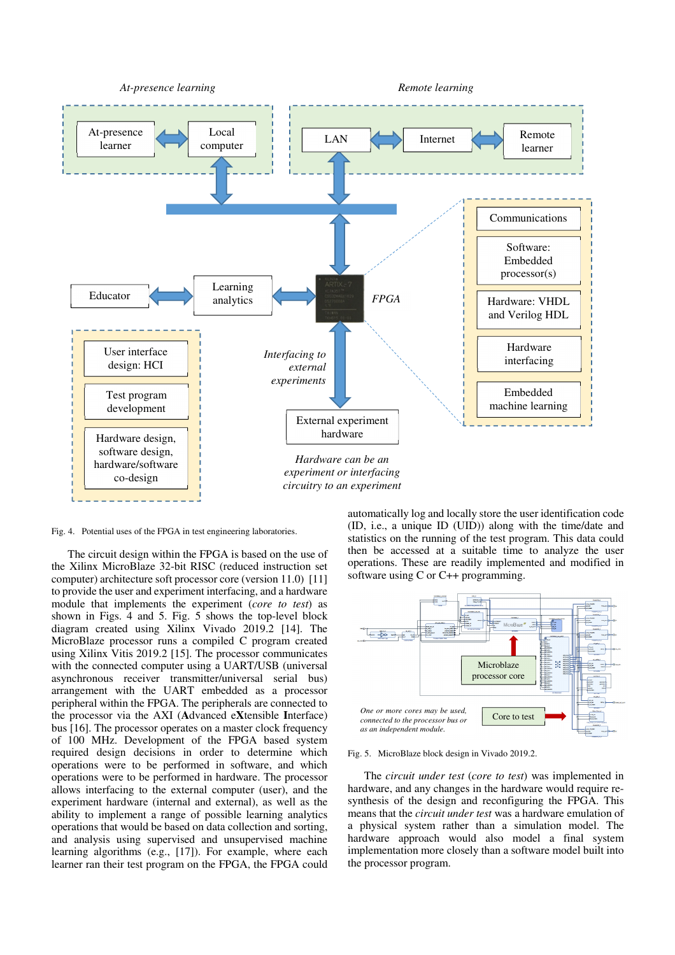

Fig. 4. Potential uses of the FPGA in test engineering laboratories.

The circuit design within the FPGA is based on the use of the Xilinx MicroBlaze 32-bit RISC (reduced instruction set computer) architecture soft processor core (version 11.0) [11] to provide the user and experiment interfacing, and a hardware module that implements the experiment (*core to test*) as shown in Figs. 4 and 5. Fig. 5 shows the top-level block diagram created using Xilinx Vivado 2019.2 [14]. The MicroBlaze processor runs a compiled C program created using Xilinx Vitis 2019.2 [15]. The processor communicates with the connected computer using a UART/USB (universal asynchronous receiver transmitter/universal serial bus) arrangement with the UART embedded as a processor peripheral within the FPGA. The peripherals are connected to the processor via the AXI (**A**dvanced e**X**tensible **I**nterface) bus [16]. The processor operates on a master clock frequency of 100 MHz. Development of the FPGA based system required design decisions in order to determine which operations were to be performed in software, and which operations were to be performed in hardware. The processor allows interfacing to the external computer (user), and the experiment hardware (internal and external), as well as the ability to implement a range of possible learning analytics operations that would be based on data collection and sorting, and analysis using supervised and unsupervised machine learning algorithms (e.g., [17]). For example, where each learner ran their test program on the FPGA, the FPGA could automatically log and locally store the user identification code (ID, i.e., a unique ID (UID)) along with the time/date and statistics on the running of the test program. This data could then be accessed at a suitable time to analyze the user operations. These are readily implemented and modified in software using C or C++ programming.



Fig. 5. MicroBlaze block design in Vivado 2019.2.

The *circuit under test* (*core to test*) was implemented in hardware, and any changes in the hardware would require resynthesis of the design and reconfiguring the FPGA. This means that the *circuit under test* was a hardware emulation of a physical system rather than a simulation model. The hardware approach would also model a final system implementation more closely than a software model built into the processor program.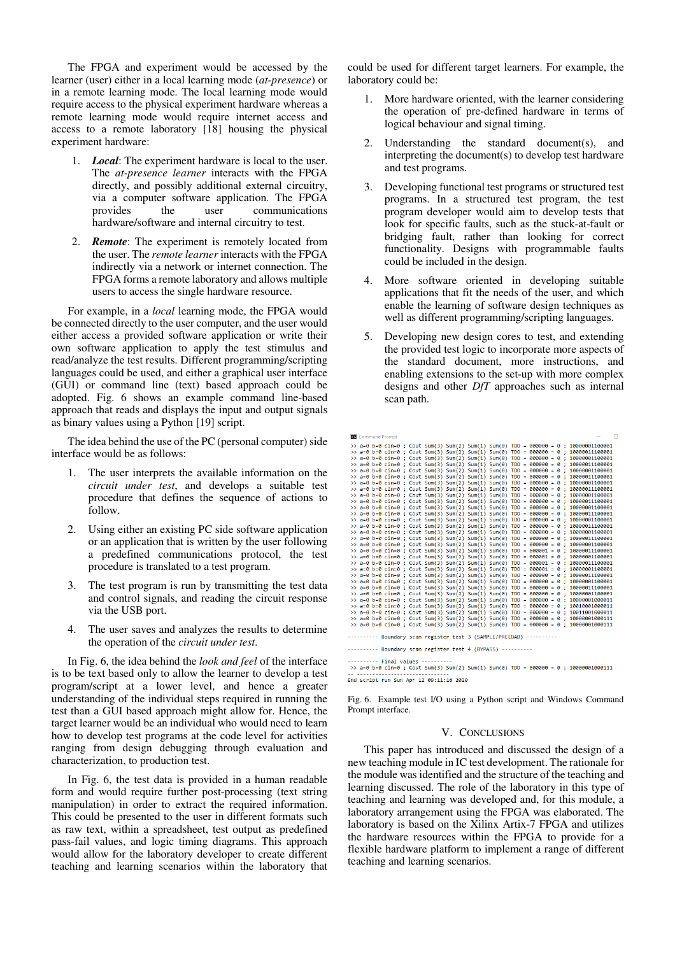The FPGA and experiment would be accessed by the learner (user) either in a local learning mode (*at-presence*) or in a remote learning mode. The local learning mode would require access to the physical experiment hardware whereas a remote learning mode would require internet access and access to a remote laboratory [18] housing the physical experiment hardware:

- 1. *Local*: The experiment hardware is local to the user. The *at-presence learner* interacts with the FPGA directly, and possibly additional external circuitry, via a computer software application. The FPGA provides the user communications hardware/software and internal circuitry to test.
- 2. *Remote*: The experiment is remotely located from the user. The *remote learner* interacts with the FPGA indirectly via a network or internet connection. The FPGA forms a remote laboratory and allows multiple users to access the single hardware resource.

For example, in a *local* learning mode, the FPGA would be connected directly to the user computer, and the user would either access a provided software application or write their own software application to apply the test stimulus and read/analyze the test results. Different programming/scripting languages could be used, and either a graphical user interface (GUI) or command line (text) based approach could be adopted. Fig. 6 shows an example command line-based approach that reads and displays the input and output signals as binary values using a Python [19] script.

The idea behind the use of the PC (personal computer) side interface would be as follows:

- 1. The user interprets the available information on the *circuit under test*, and develops a suitable test procedure that defines the sequence of actions to follow.
- 2. Using either an existing PC side software application or an application that is written by the user following a predefined communications protocol, the test procedure is translated to a test program.
- 3. The test program is run by transmitting the test data and control signals, and reading the circuit response via the USB port.
- 4. The user saves and analyzes the results to determine the operation of the *circuit under test*.

In Fig. 6, the idea behind the *look and feel* of the interface is to be text based only to allow the learner to develop a test program/script at a lower level, and hence a greater understanding of the individual steps required in running the test than a GUI based approach might allow for. Hence, the target learner would be an individual who would need to learn how to develop test programs at the code level for activities ranging from design debugging through evaluation and characterization, to production test.

In Fig. 6, the test data is provided in a human readable form and would require further post-processing (text string manipulation) in order to extract the required information. This could be presented to the user in different formats such as raw text, within a spreadsheet, test output as predefined pass-fail values, and logic timing diagrams. This approach would allow for the laboratory developer to create different teaching and learning scenarios within the laboratory that

could be used for different target learners. For example, the laboratory could be:

- 1. More hardware oriented, with the learner considering the operation of pre-defined hardware in terms of logical behaviour and signal timing.
- 2. Understanding the standard document(s), and interpreting the document(s) to develop test hardware and test programs.
- 3. Developing functional test programs or structured test programs. In a structured test program, the test program developer would aim to develop tests that look for specific faults, such as the stuck-at-fault or bridging fault, rather than looking for correct functionality. Designs with programmable faults could be included in the design.
- 4. More software oriented in developing suitable applications that fit the needs of the user, and which enable the learning of software design techniques as well as different programming/scripting languages.
- 5. Developing new design cores to test, and extending the provided test logic to incorporate more aspects of the standard document, more instructions, and enabling extensions to the set-up with more complex designs and other *DfT* approaches such as internal scan path.

|  | Command Prompt |  |                                                           |  |                                                                   |  | $\sim$                                                                                |
|--|----------------|--|-----------------------------------------------------------|--|-------------------------------------------------------------------|--|---------------------------------------------------------------------------------------|
|  |                |  |                                                           |  |                                                                   |  | >> a=0 b=0 cin=0 ; Cout Sum(3) Sum(2) Sum(1) Sum(0) TDO = 000000 = 0 ; 10000001100001 |
|  |                |  |                                                           |  |                                                                   |  | >> a=0 b=0 cin=0 ; Cout Sum(3) Sum(2) Sum(1) Sum(0) TDO = 000000 = 0 ; 10000011100001 |
|  |                |  |                                                           |  |                                                                   |  | >> a=0 b=0 cin=0 ; Cout Sum(3) Sum(2) Sum(1) Sum(0) TDO = 000000 = 0 ; 10000001100001 |
|  |                |  |                                                           |  |                                                                   |  | >> a=0 b=0 cin=0 ; Cout Sum(3) Sum(2) Sum(1) Sum(0) TDO = 000000 = 0 ; 10000011100001 |
|  |                |  |                                                           |  |                                                                   |  | >> a=0 b=0 cin=0 ; Cout Sum(3) Sum(2) Sum(1) Sum(0) TDO = 000000 = 0 ; 10000001100001 |
|  |                |  |                                                           |  |                                                                   |  | >> a=0 b=0 cin=0 ; Cout Sum(3) Sum(2) Sum(1) Sum(0) TDO = 000000 = 0 ; 10000011100001 |
|  |                |  |                                                           |  |                                                                   |  | >> a=0 b=0 cin=0 ; Cout Sum(3) Sum(2) Sum(1) Sum(0) TDO = 000000 = 0 ; 10000001100001 |
|  |                |  |                                                           |  |                                                                   |  | >> a=0 b=0 cin=0 ; Cout Sum(3) Sum(2) Sum(1) Sum(0) TDO = 000000 = 0 ; 10000011100001 |
|  |                |  |                                                           |  |                                                                   |  | >> a=0 b=0 cin=0 ; Cout Sum(3) Sum(2) Sum(1) Sum(0) TDO = 000000 = 0 ; 10000001100001 |
|  |                |  |                                                           |  |                                                                   |  | >> a=0 b=0 cin=0 : Cout Sum(3) Sum(2) Sum(1) Sum(0) TDO = 000000 = 0 : 10000011100001 |
|  |                |  |                                                           |  |                                                                   |  | >> a=0 b=0 cin=0 ; Cout Sum(3) Sum(2) Sum(1) Sum(0) TDO = 000000 = 0 ; 10000001100001 |
|  |                |  |                                                           |  |                                                                   |  | >> a=0 b=0 cin=0 ; Cout Sum(3) Sum(2) Sum(1) Sum(0) TDO = 000000 = 0 ; 10000011100001 |
|  |                |  |                                                           |  |                                                                   |  | >> a=0 b=0 cin=0 ; Cout Sum(3) Sum(2) Sum(1) Sum(0) TDO = 000000 = 0 ; 10000001100001 |
|  |                |  |                                                           |  |                                                                   |  | >> a=0 b=0 cin=0 ; Cout Sum(3) Sum(2) Sum(1) Sum(0) TDO = 000000 = 0 ; 10000011100001 |
|  |                |  |                                                           |  |                                                                   |  | >> a=0 b=0 cin=0 ; Cout Sum(3) Sum(2) Sum(1) Sum(0) TDO = 000000 = 0 ; 10000001100001 |
|  |                |  |                                                           |  |                                                                   |  | >> a=0 b=0 cin=0 ; Cout Sum(3) Sum(2) Sum(1) Sum(0) TDO = 000000 = 0 ; 10000011100001 |
|  |                |  |                                                           |  |                                                                   |  | >> a=0 b=0 cin=0 ; Cout Sum(3) Sum(2) Sum(1) Sum(0) TDO = 000000 = 0 ; 10000001100001 |
|  |                |  |                                                           |  |                                                                   |  | >> a=0 b=0 cin=0 ; Cout Sum(3) Sum(2) Sum(1) Sum(0) TDO = 000001 = 0 ; 10000011100001 |
|  |                |  |                                                           |  |                                                                   |  | >> a=0 b=0 cin=0 ; Cout Sum(3) Sum(2) Sum(1) Sum(0) TDO = 000001 = 0 ; 10000001100001 |
|  |                |  |                                                           |  |                                                                   |  | >> a=0 b=0 cin=0 : Cout Sum(3) Sum(2) Sum(1) Sum(0) TDO = 000001 = 0 : 10000011100001 |
|  |                |  |                                                           |  |                                                                   |  | >> a=0 b=0 cin=0 ; Cout Sum(3) Sum(2) Sum(1) Sum(0) TDO = 000001 = 0 ; 10000001100001 |
|  |                |  |                                                           |  |                                                                   |  | >> a=0 b=0 cin=0 ; Cout Sum(3) Sum(2) Sum(1) Sum(0) TDO = 000000 = 0 ; 10000011100001 |
|  |                |  |                                                           |  |                                                                   |  | >> a=0 b=0 cin=0 ; Cout Sum(3) Sum(2) Sum(1) Sum(0) TDO = 000000 = 0 ; 10000001100001 |
|  |                |  |                                                           |  |                                                                   |  | >> a=0 b=0 cin=0 ; Cout Sum(3) Sum(2) Sum(1) Sum(0) TDO = 000000 = 0 ; 10000011100001 |
|  |                |  |                                                           |  |                                                                   |  | >> a=0 b=0 cin=0 ; Cout Sum(3) Sum(2) Sum(1) Sum(0) TDO = 000000 = 0 ; 10000001100001 |
|  |                |  |                                                           |  |                                                                   |  | >> a=0 b=0 cin=0 ; Cout Sum(3) Sum(2) Sum(1) Sum(0) TDO = 000000 = 0 ; 10000001000011 |
|  |                |  |                                                           |  |                                                                   |  | >> a=0 b=0 cin=0 ; Cout Sum(3) Sum(2) Sum(1) Sum(0) TDO = 000000 = 0 ; 10010001000011 |
|  |                |  |                                                           |  |                                                                   |  | >> a=0 b=0 cin=0 ; Cout Sum(3) Sum(2) Sum(1) Sum(0) TDO = 000000 = 0 ; 10011001000011 |
|  |                |  |                                                           |  |                                                                   |  | >> a=0 b=0 cin=0 ; Cout Sum(3) Sum(2) Sum(1) Sum(0) TDO = 000000 = 0 ; 10000001000111 |
|  |                |  |                                                           |  |                                                                   |  | >> a=0 b=0 cin=0 ; Cout Sum(3) Sum(2) Sum(1) Sum(0) TDO = 000000 = 0 ; 10000001000111 |
|  |                |  |                                                           |  | ------- Boundary scan register test 3 (SAMPLE/PRELOAD) ---------- |  |                                                                                       |
|  |                |  | ------- Boundary scan register test 4 (BYPASS) ---------- |  |                                                                   |  |                                                                                       |
|  |                |  |                                                           |  |                                                                   |  |                                                                                       |

--------- Final values ---------<br>>> a=0 b=0 cin=0 ; Cout Sum(3) Sum(2) Sum(1) Sum(0) TDO = 000000 = 0 ; 10000001000111 End script run Sun Apr 12 09:11:16 2020

Fig. 6. Example test I/O using a Python script and Windows Command Prompt interface.

## V. CONCLUSIONS

This paper has introduced and discussed the design of a new teaching module in IC test development. The rationale for the module was identified and the structure of the teaching and learning discussed. The role of the laboratory in this type of teaching and learning was developed and, for this module, a laboratory arrangement using the FPGA was elaborated. The laboratory is based on the Xilinx Artix-7 FPGA and utilizes the hardware resources within the FPGA to provide for a flexible hardware platform to implement a range of different teaching and learning scenarios.